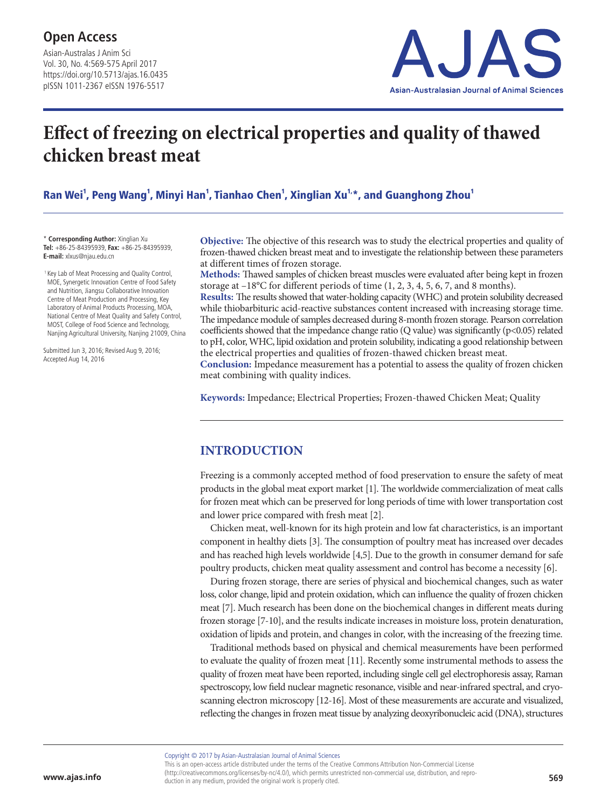Asian-Australas J Anim Sci Vol. 30, No. 4:569-575 April 2017 https://doi.org/10.5713/ajas.16.0435 pISSN 1011-2367 eISSN 1976-5517



# **Effect of freezing on electrical properties and quality of thawed chicken breast meat**

Ran Wei<sup>1</sup>, Peng Wang<sup>1</sup>, Minyi Han<sup>1</sup>, Tianhao Chen<sup>1</sup>, Xinglian Xu<sup>1,</sup>\*, and Guanghong Zhou<sup>1</sup>

\* **Corresponding Author:** Xinglian Xu **Tel:** +86-25-84395939, **Fax:** +86-25-84395939, **E-mail:** xlxus@njau.edu.cn

<sup>1</sup> Key Lab of Meat Processing and Quality Control, MOE, Synergetic Innovation Centre of Food Safety and Nutrition, Jiangsu Collaborative Innovation Centre of Meat Production and Processing, Key Laboratory of Animal Products Processing, MOA, National Centre of Meat Quality and Safety Control, MOST, College of Food Science and Technology, Nanjing Agricultural University, Nanjing 21009, China

Submitted Jun 3, 2016; Revised Aug 9, 2016; Accepted Aug 14, 2016

**Objective:** The objective of this research was to study the electrical properties and quality of frozen-thawed chicken breast meat and to investigate the relationship between these parameters at different times of frozen storage.

**Methods:** Thawed samples of chicken breast muscles were evaluated after being kept in frozen storage at –18°C for different periods of time (1, 2, 3, 4, 5, 6, 7, and 8 months).

**Results:** The results showed that water-holding capacity (WHC) and protein solubility decreased while thiobarbituric acid-reactive substances content increased with increasing storage time. The impedance module of samples decreased during 8-month frozen storage. Pearson correlation coefficients showed that the impedance change ratio (Q value) was significantly ( $p$ <0.05) related to pH, color, WHC, lipid oxidation and protein solubility, indicating a good relationship between the electrical properties and qualities of frozen-thawed chicken breast meat.

**Conclusion:** Impedance measurement has a potential to assess the quality of frozen chicken meat combining with quality indices.

**Keywords:** Impedance; Electrical Properties; Frozen-thawed Chicken Meat; Quality

### **INTRODUCTION**

Freezing is a commonly accepted method of food preservation to ensure the safety of meat products in the global meat export market [1]. The worldwide commercialization of meat calls for frozen meat which can be preserved for long periods of time with lower transportation cost and lower price compared with fresh meat [2].

Chicken meat, well-known for its high protein and low fat characteristics, is an important component in healthy diets [3]. The consumption of poultry meat has increased over decades and has reached high levels worldwide [4,5]. Due to the growth in consumer demand for safe poultry products, chicken meat quality assessment and control has become a necessity [6].

During frozen storage, there are series of physical and biochemical changes, such as water loss, color change, lipid and protein oxidation, which can influence the quality of frozen chicken meat [7]. Much research has been done on the biochemical changes in different meats during frozen storage [7-10], and the results indicate increases in moisture loss, protein denaturation, oxidation of lipids and protein, and changes in color, with the increasing of the freezing time.

Traditional methods based on physical and chemical measurements have been performed to evaluate the quality of frozen meat [11]. Recently some instrumental methods to assess the quality of frozen meat have been reported, including single cell gel electrophoresis assay, Raman spectroscopy, low field nuclear magnetic resonance, visible and near-infrared spectral, and cryoscanning electron microscopy [12-16]. Most of these measurements are accurate and visualized, reflecting the changes in frozen meat tissue by analyzing deoxyribonucleic acid (DNA), structures

Copyright © 2017 by Asian-Australasian Journal of Animal Sciences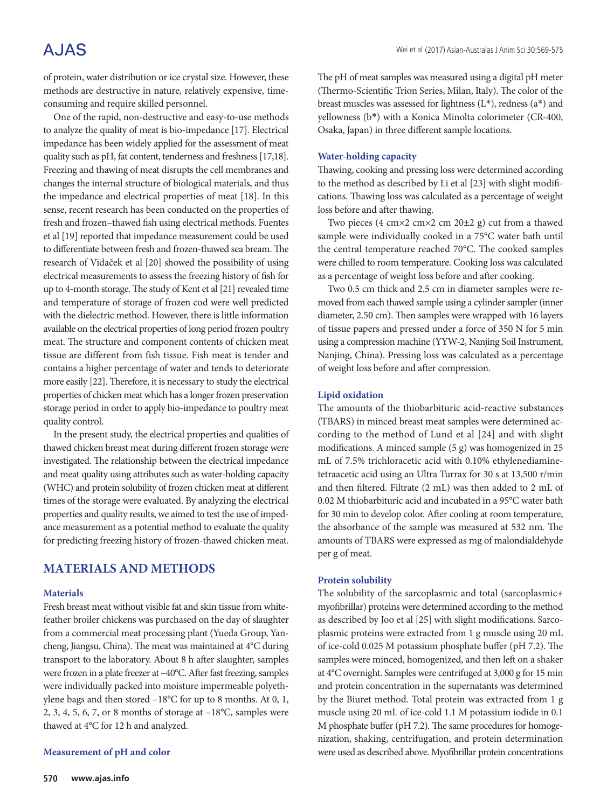## A.JAS

of protein, water distribution or ice crystal size. However, these methods are destructive in nature, relatively expensive, timeconsuming and require skilled personnel.

One of the rapid, non-destructive and easy-to-use methods to analyze the quality of meat is bio-impedance [17]. Electrical impedance has been widely applied for the assessment of meat quality such as pH, fat content, tenderness and freshness [17,18]. Freezing and thawing of meat disrupts the cell membranes and changes the internal structure of biological materials, and thus the impedance and electrical properties of meat [18]. In this sense, recent research has been conducted on the properties of fresh and frozen–thawed fish using electrical methods. Fuentes et al [19] reported that impedance measurement could be used to differentiate between fresh and frozen-thawed sea bream. The research of Vidaček et al [20] showed the possibility of using electrical measurements to assess the freezing history of fish for up to 4-month storage. The study of Kent et al [21] revealed time and temperature of storage of frozen cod were well predicted with the dielectric method. However, there is little information available on the electrical properties of long period frozen poultry meat. The structure and component contents of chicken meat tissue are different from fish tissue. Fish meat is tender and contains a higher percentage of water and tends to deteriorate more easily [22]. Therefore, it is necessary to study the electrical properties of chicken meat which has a longer frozen preservation storage period in order to apply bio-impedance to poultry meat quality control.

In the present study, the electrical properties and qualities of thawed chicken breast meat during different frozen storage were investigated. The relationship between the electrical impedance and meat quality using attributes such as water-holding capacity (WHC) and protein solubility of frozen chicken meat at different times of the storage were evaluated. By analyzing the electrical properties and quality results, we aimed to test the use of impedance measurement as a potential method to evaluate the quality for predicting freezing history of frozen-thawed chicken meat.

## **MATERIALS AND METHODS**

#### **Materials**

Fresh breast meat without visible fat and skin tissue from whitefeather broiler chickens was purchased on the day of slaughter from a commercial meat processing plant (Yueda Group, Yancheng, Jiangsu, China). The meat was maintained at 4°C during transport to the laboratory. About 8 h after slaughter, samples were frozen in a plate freezer at –40°C. After fast freezing, samples were individually packed into moisture impermeable polyethylene bags and then stored –18°C for up to 8 months. At 0, 1, 2, 3, 4, 5, 6, 7, or 8 months of storage at –18°C, samples were thawed at 4°C for 12 h and analyzed.

#### **Measurement of pH and color**

The pH of meat samples was measured using a digital pH meter (Thermo-Scientific Trion Series, Milan, Italy). The color of the breast muscles was assessed for lightness (L\*), redness (a\*) and yellowness (b\*) with a Konica Minolta colorimeter (CR-400, Osaka, Japan) in three different sample locations.

#### **Water-holding capacity**

Thawing, cooking and pressing loss were determined according to the method as described by Li et al [23] with slight modifications. Thawing loss was calculated as a percentage of weight loss before and after thawing.

Two pieces (4 cm×2 cm×2 cm 20±2 g) cut from a thawed sample were individually cooked in a 75°C water bath until the central temperature reached 70°C. The cooked samples were chilled to room temperature. Cooking loss was calculated as a percentage of weight loss before and after cooking.

Two 0.5 cm thick and 2.5 cm in diameter samples were removed from each thawed sample using a cylinder sampler (inner diameter, 2.50 cm). Then samples were wrapped with 16 layers of tissue papers and pressed under a force of 350 N for 5 min using a compression machine (YYW-2, Nanjing Soil Instrument, Nanjing, China). Pressing loss was calculated as a percentage of weight loss before and after compression.

#### **Lipid oxidation**

The amounts of the thiobarbituric acid-reactive substances (TBARS) in minced breast meat samples were determined according to the method of Lund et al [24] and with slight modifications. A minced sample (5 g) was homogenized in 25 mL of 7.5% trichloracetic acid with 0.10% ethylenediaminetetraacetic acid using an Ultra Turrax for 30 s at 13,500 r/min and then filtered. Filtrate (2 mL) was then added to 2 mL of 0.02 M thiobarbituric acid and incubated in a 95°C water bath for 30 min to develop color. After cooling at room temperature, the absorbance of the sample was measured at 532 nm. The amounts of TBARS were expressed as mg of malondialdehyde per g of meat.

#### **Protein solubility**

The solubility of the sarcoplasmic and total (sarcoplasmic+ myofibrillar) proteins were determined according to the method as described by Joo et al [25] with slight modifications. Sarcoplasmic proteins were extracted from 1 g muscle using 20 mL of ice-cold 0.025 M potassium phosphate buffer (pH 7.2). The samples were minced, homogenized, and then left on a shaker at 4°C overnight. Samples were centrifuged at 3,000 g for 15 min and protein concentration in the supernatants was determined by the Biuret method. Total protein was extracted from 1 g muscle using 20 mL of ice-cold 1.1 M potassium iodide in 0.1 M phosphate buffer (pH 7.2). The same procedures for homogenization, shaking, centrifugation, and protein determination were used as described above. Myofibrillar protein concentrations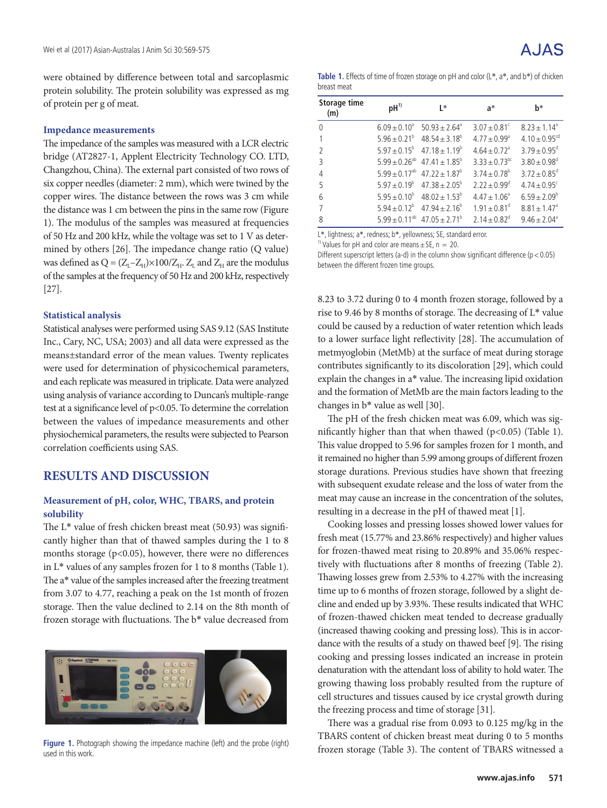were obtained by difference between total and sarcoplasmic protein solubility. The protein solubility was expressed as mg of protein per g of meat.

#### **Impedance measurements**

The impedance of the samples was measured with a LCR electric bridge (AT2827-1, Applent Electricity Technology CO. LTD, Changzhou, China). The external part consisted of two rows of six copper needles (diameter: 2 mm), which were twined by the copper wires. The distance between the rows was 3 cm while the distance was 1 cm between the pins in the same row (Figure 1). The modulus of the samples was measured at frequencies of 50 Hz and 200 kHz, while the voltage was set to 1 V as determined by others [26]. The impedance change ratio (Q value) was defined as  $Q = (Z_L - Z_H) \times 100/Z_H$ .  $Z_L$  and  $Z_H$  are the modulus of the samples at the frequency of 50 Hz and 200 kHz, respectively [27].

#### **Statistical analysis**

Statistical analyses were performed using SAS 9.12 (SAS Institute Inc., Cary, NC, USA; 2003) and all data were expressed as the means±standard error of the mean values. Twenty replicates were used for determination of physicochemical parameters, and each replicate was measured in triplicate. Data were analyzed using analysis of variance according to Duncan's multiple-range test at a significance level of p<0.05. To determine the correlation between the values of impedance measurements and other physiochemical parameters, the results were subjected to Pearson correlation coefficients using SAS.

### **RESULTS AND DISCUSSION**

#### **Measurement of pH, color, WHC, TBARS, and protein solubility**

The L\* value of fresh chicken breast meat (50.93) was significantly higher than that of thawed samples during the 1 to 8 months storage ( $p$ <0.05), however, there were no differences in L\* values of any samples frozen for 1 to 8 months (Table 1). The a\* value of the samples increased after the freezing treatment from 3.07 to 4.77, reaching a peak on the 1st month of frozen storage. Then the value declined to 2.14 on the 8th month of frozen storage with fluctuations. The b\* value decreased from



**Figure 1.** Photograph showing the impedance machine (left) and the probe (right) used in this work.

| <b>Table 1.</b> Effects of time of frozen storage on pH and color $(L^*, a^*,$ and $b^*)$ of chicken |
|------------------------------------------------------------------------------------------------------|
| breast meat                                                                                          |

| Storage time<br>(m) | $pH^{1)}$               | $\mathsf{I}^*$                               | $a^*$                        | h*                            |
|---------------------|-------------------------|----------------------------------------------|------------------------------|-------------------------------|
| $\Omega$            | $6.09 \pm 0.10^a$       | $50.93 + 2.64$ <sup>a</sup>                  | $3.07 \pm 0.81$ <sup>c</sup> | $8.23 + 1.14$ <sup>a</sup>    |
|                     | $5.96 \pm 0.21^{\circ}$ | $48.54 \pm 3.18^b$                           | $4.77 + 0.99$ <sup>a</sup>   | $4.10 \pm 0.95$ <sup>cd</sup> |
| $\mathcal{I}$       |                         | $5.97 + 0.15^b$ $47.18 + 1.19^b$             | $4.64 \pm 0.72$ <sup>a</sup> | $3.79 + 0.95^{\circ}$         |
| $\overline{3}$      |                         | $5.99 + 0.26^{ab}$ 47.41 + 1.85 <sup>b</sup> | $3.33 + 0.73$ <sup>bc</sup>  | $3.80 \pm 0.98$ <sup>d</sup>  |
| 4                   | $5.99 \pm 0.17^{ab}$    | $47.22 + 1.87^b$                             | $3.74 \pm 0.78$ <sup>b</sup> | $3.72 \pm 0.85$ <sup>d</sup>  |
| 5                   |                         | $5.97 + 0.19^b$ $47.38 + 2.05^b$             | $2.22 \pm 0.99$ <sup>d</sup> | $4.74 \pm 0.95$ <sup>c</sup>  |
| 6                   |                         | $5.95 + 0.10^{b}$ $48.02 + 1.53^{b}$         | $4.47 \pm 1.06^a$            | $6.59 + 2.09^b$               |
|                     |                         | $5.94 + 0.12^b$ $47.94 + 2.16^b$             | $1.91 \pm 0.81$ <sup>d</sup> | $8.81 \pm 1.47$ <sup>a</sup>  |
| 8                   | $5.99 \pm 0.11^{ab}$    | $47.05 \pm 2.71^{\circ}$                     | $2.14 \pm 0.82$ <sup>d</sup> | $9.46 \pm 2.04$ <sup>a</sup>  |

L\*, lightness; a\*, redness; b\*, yellowness; SE, standard error.

<sup>1)</sup> Values for pH and color are means  $\pm$  SE, n = 20.

Different superscript letters (a-d) in the column show significant difference ( $p < 0.05$ ) between the different frozen time groups.

8.23 to 3.72 during 0 to 4 month frozen storage, followed by a rise to 9.46 by 8 months of storage. The decreasing of L\* value could be caused by a reduction of water retention which leads to a lower surface light reflectivity [28]. The accumulation of metmyoglobin (MetMb) at the surface of meat during storage contributes significantly to its discoloration [29], which could explain the changes in a\* value. The increasing lipid oxidation and the formation of MetMb are the main factors leading to the changes in b\* value as well [30].

The pH of the fresh chicken meat was 6.09, which was significantly higher than that when thawed  $(p<0.05)$  (Table 1). This value dropped to 5.96 for samples frozen for 1 month, and it remained no higher than 5.99 among groups of different frozen storage durations. Previous studies have shown that freezing with subsequent exudate release and the loss of water from the meat may cause an increase in the concentration of the solutes, resulting in a decrease in the pH of thawed meat [1].

Cooking losses and pressing losses showed lower values for fresh meat (15.77% and 23.86% respectively) and higher values for frozen-thawed meat rising to 20.89% and 35.06% respectively with fluctuations after 8 months of freezing (Table 2). Thawing losses grew from 2.53% to 4.27% with the increasing time up to 6 months of frozen storage, followed by a slight decline and ended up by 3.93%. These results indicated that WHC of frozen-thawed chicken meat tended to decrease gradually (increased thawing cooking and pressing loss). This is in accordance with the results of a study on thawed beef [9]. The rising cooking and pressing losses indicated an increase in protein denaturation with the attendant loss of ability to hold water. The growing thawing loss probably resulted from the rupture of cell structures and tissues caused by ice crystal growth during the freezing process and time of storage [31].

There was a gradual rise from 0.093 to 0.125 mg/kg in the TBARS content of chicken breast meat during 0 to 5 months frozen storage (Table 3). The content of TBARS witnessed a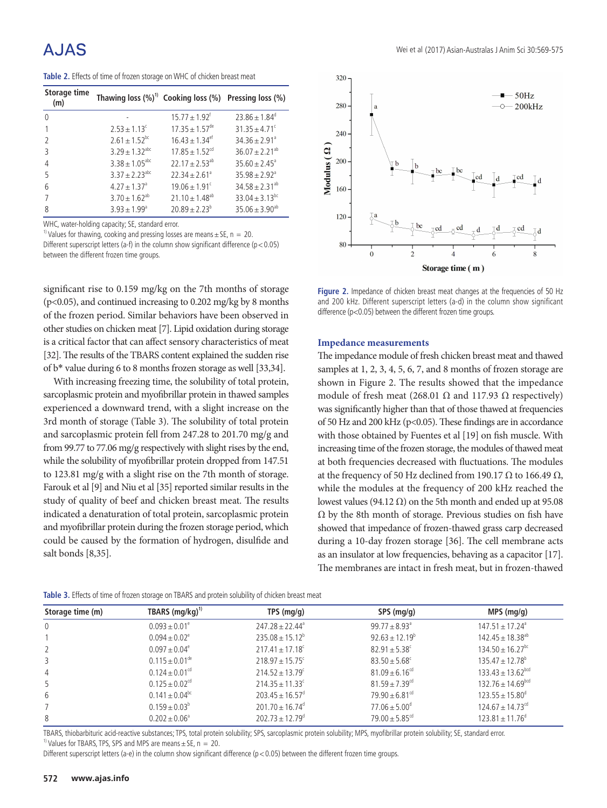# A.JAS

**Table 2.** Effects of time of frozen storage on WHC of chicken breast meat

| Storage time<br>(m) | Thawing loss $(\%)^1$ Cooking loss $(\%)$ Pressing loss $(\%)$ |                                |                                |
|---------------------|----------------------------------------------------------------|--------------------------------|--------------------------------|
| $\Omega$            |                                                                | $15.77 \pm 1.92$ <sup>t</sup>  | $23.86 \pm 1.84^{\circ}$       |
|                     | $2.53 \pm 1.13^c$                                              | $17.35 \pm 1.57$ <sup>de</sup> | $31.35 \pm 4.71$ <sup>c</sup>  |
|                     | $2.61 \pm 1.52$ <sup>bc</sup>                                  | $16.43 + 1.34$ <sup>et</sup>   | $34.36 \pm 2.91$ <sup>a</sup>  |
| 3                   | $3.29 + 1.32$ <sup>abc</sup>                                   | $17.85 + 1.52^{cd}$            | $36.07 \pm 2.21^{ab}$          |
| 4                   | $3.38 \pm 1.05^{\text{abc}}$                                   | $22.17 + 2.53^{ab}$            | $35.60 \pm 2.45^{\circ}$       |
| 5                   | $3.37 \pm 2.23$ <sup>abc</sup>                                 | $22.34 + 2.61$ <sup>a</sup>    | $35.98 \pm 2.92$ <sup>a</sup>  |
| 6                   | $4.27 \pm 1.37$ <sup>a</sup>                                   | $19.06 \pm 1.91$ <sup>c</sup>  | $34.58 \pm 2.31^{ab}$          |
|                     | $3.70 \pm 1.62^{ab}$                                           | $21.10 \pm 1.48^{ab}$          | $33.04 \pm 3.13$ <sup>bc</sup> |
| 8                   | $3.93 \pm 1.99^{\circ}$                                        | $20.89 \pm 2.23^b$             | $35.06 \pm 3.90^{ab}$          |

WHC, water-holding capacity; SE, standard error.

<sup>1)</sup> Values for thawing, cooking and pressing losses are means  $\pm$  SE, n = 20. Different superscript letters (a-f) in the column show significant difference ( $p < 0.05$ ) between the different frozen time groups.

significant rise to 0.159 mg/kg on the 7th months of storage (p<0.05), and continued increasing to 0.202 mg/kg by 8 months of the frozen period. Similar behaviors have been observed in other studies on chicken meat [7]. Lipid oxidation during storage is a critical factor that can affect sensory characteristics of meat [32]. The results of the TBARS content explained the sudden rise of b\* value during 6 to 8 months frozen storage as well [33,34].

With increasing freezing time, the solubility of total protein, sarcoplasmic protein and myofibrillar protein in thawed samples experienced a downward trend, with a slight increase on the 3rd month of storage (Table 3). The solubility of total protein and sarcoplasmic protein fell from 247.28 to 201.70 mg/g and from 99.77 to 77.06 mg/g respectively with slight rises by the end, while the solubility of myofibrillar protein dropped from 147.51 to 123.81 mg/g with a slight rise on the 7th month of storage. Farouk et al [9] and Niu et al [35] reported similar results in the study of quality of beef and chicken breast meat. The results indicated a denaturation of total protein, sarcoplasmic protein and myofibrillar protein during the frozen storage period, which could be caused by the formation of hydrogen, disulfide and salt bonds [8,35].



**Figure 2.** Impedance of chicken breast meat changes at the frequencies of 50 Hz and 200 kHz. Different superscript letters (a-d) in the column show significant difference (p<0.05) between the different frozen time groups.

#### **Impedance measurements**

The impedance module of fresh chicken breast meat and thawed samples at 1, 2, 3, 4, 5, 6, 7, and 8 months of frozen storage are shown in Figure 2. The results showed that the impedance module of fresh meat (268.01 Ω and 117.93 Ω respectively) was significantly higher than that of those thawed at frequencies of 50 Hz and 200 kHz (p<0.05). These findings are in accordance with those obtained by Fuentes et al [19] on fish muscle. With increasing time of the frozen storage, the modules of thawed meat at both frequencies decreased with fluctuations. The modules at the frequency of 50 Hz declined from 190.17 Ω to 166.49  $Ω$ , while the modules at the frequency of 200 kHz reached the lowest values (94.12 Ω) on the 5th month and ended up at 95.08 Ω by the 8th month of storage. Previous studies on fish have showed that impedance of frozen-thawed grass carp decreased during a 10-day frozen storage [36]. The cell membrane acts as an insulator at low frequencies, behaving as a capacitor [17]. The membranes are intact in fresh meat, but in frozen-thawed

| <b>TWATE OF ENCLUS OF MILE OF HOLLOWING ON TOWN TO GITA PROCENT SOMMING OF CHICKEN MICHAEL INCOLE</b> |                                |                                 |                                |                                   |  |  |  |  |
|-------------------------------------------------------------------------------------------------------|--------------------------------|---------------------------------|--------------------------------|-----------------------------------|--|--|--|--|
| Storage time (m)                                                                                      | TBARS $(mg/kg)^{1}$            | TPS $(mq/q)$                    | SPS (mg/g)                     | $MPS$ (mg/g)                      |  |  |  |  |
| 0                                                                                                     | $0.093 \pm 0.01^e$             | $247.28 \pm 22.44^{\circ}$      | $99.77 \pm 8.93$ <sup>a</sup>  | $147.51 \pm 17.24$ <sup>a</sup>   |  |  |  |  |
|                                                                                                       | $0.094 \pm 0.02^e$             | $235.08 \pm 15.12^{\circ}$      | $92.63 \pm 12.19^b$            | $142.45 \pm 18.38^{ab}$           |  |  |  |  |
|                                                                                                       | $0.097 \pm 0.04$ <sup>e</sup>  | $217.41 \pm 17.18$ <sup>c</sup> | $82.91 \pm 5.38$ <sup>c</sup>  | $134.50 \pm 16.27$ <sup>bc</sup>  |  |  |  |  |
|                                                                                                       | $0.115 \pm 0.01^{\text{de}}$   | $218.97 \pm 15.75$ <sup>c</sup> | $83.50 \pm 5.68$ <sup>c</sup>  | $135.47 \pm 12.78^{\circ}$        |  |  |  |  |
| 4                                                                                                     | $0.124 \pm 0.01^{cd}$          | $214.52 \pm 13.79$ <sup>c</sup> | $81.09 \pm 6.16$ <sup>cd</sup> | $133.43 \pm 13.62$ <sup>bcd</sup> |  |  |  |  |
| 5                                                                                                     | $0.125 \pm 0.02$ <sup>cd</sup> | $214.35 \pm 11.33$ °            | $81.59 \pm 7.39$ <sup>cd</sup> | $132.76 \pm 14.69$ <sub>bcd</sub> |  |  |  |  |
| 6                                                                                                     | $0.141 \pm 0.04$ <sup>bc</sup> | $203.45 \pm 16.57$ <sup>d</sup> | $79.90 \pm 6.81$ <sup>cd</sup> | $123.55 \pm 15.80$ <sup>d</sup>   |  |  |  |  |
|                                                                                                       | $0.159 \pm 0.03^b$             | $201.70 \pm 16.74$ <sup>d</sup> | $77.06 \pm 5.00^{\circ}$       | $124.67 \pm 14.73$ <sup>cd</sup>  |  |  |  |  |
| 8                                                                                                     | $0.202 \pm 0.06^{\circ}$       | $202.73 \pm 12.79$ <sup>d</sup> | $79.00 \pm 5.85$ <sup>cd</sup> | $123.81 \pm 11.76^{\circ}$        |  |  |  |  |
|                                                                                                       |                                |                                 |                                |                                   |  |  |  |  |

**Table 3.** Effects of time of frozen storage on TBARS and protein solubility of chicken breast meat

TBARS, thiobarbituric acid-reactive substances; TPS, total protein solubility; SPS, sarcoplasmic protein solubility; MPS, myofibrillar protein solubility; SE, standard error. <sup>1)</sup> Values for TBARS, TPS, SPS and MPS are means  $\pm$  SE, n = 20.

Different superscript letters (a-e) in the column show significant difference ( $p < 0.05$ ) between the different frozen time groups.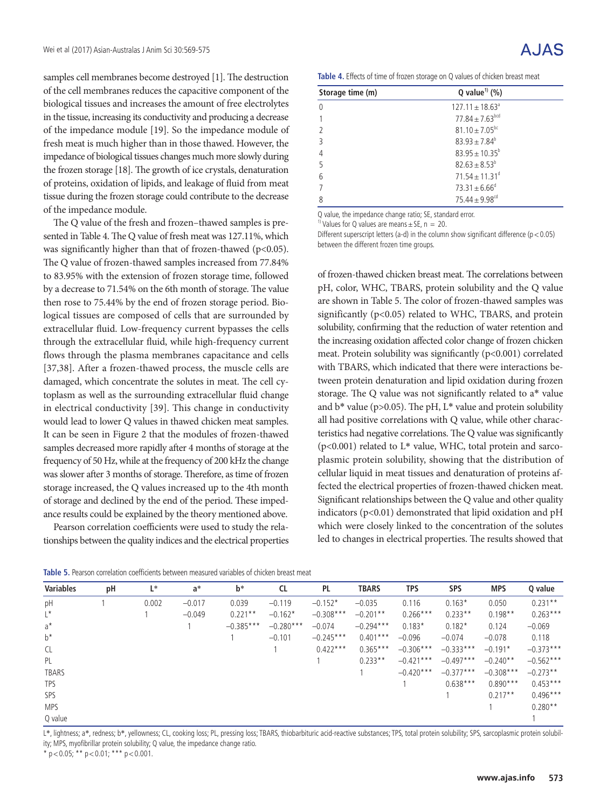samples cell membranes become destroyed [1]. The destruction of the cell membranes reduces the capacitive component of the biological tissues and increases the amount of free electrolytes in the tissue, increasing its conductivity and producing a decrease of the impedance module [19]. So the impedance module of fresh meat is much higher than in those thawed. However, the impedance of biological tissues changes much more slowly during the frozen storage [18]. The growth of ice crystals, denaturation of proteins, oxidation of lipids, and leakage of fluid from meat tissue during the frozen storage could contribute to the decrease of the impedance module.

The Q value of the fresh and frozen–thawed samples is presented in Table 4. The Q value of fresh meat was 127.11%, which was significantly higher than that of frozen-thawed (p<0.05). The Q value of frozen-thawed samples increased from 77.84% to 83.95% with the extension of frozen storage time, followed by a decrease to 71.54% on the 6th month of storage. The value then rose to 75.44% by the end of frozen storage period. Biological tissues are composed of cells that are surrounded by extracellular fluid. Low-frequency current bypasses the cells through the extracellular fluid, while high-frequency current flows through the plasma membranes capacitance and cells [37,38]. After a frozen-thawed process, the muscle cells are damaged, which concentrate the solutes in meat. The cell cytoplasm as well as the surrounding extracellular fluid change in electrical conductivity [39]. This change in conductivity would lead to lower Q values in thawed chicken meat samples. It can be seen in Figure 2 that the modules of frozen-thawed samples decreased more rapidly after 4 months of storage at the frequency of 50 Hz, while at the frequency of 200 kHz the change was slower after 3 months of storage. Therefore, as time of frozen storage increased, the Q values increased up to the 4th month of storage and declined by the end of the period. These impedance results could be explained by the theory mentioned above.

Pearson correlation coefficients were used to study the relationships between the quality indices and the electrical properties

| Storage time (m) | Q value <sup>1)</sup> (%)      |  |
|------------------|--------------------------------|--|
|                  | $127.11 \pm 18.63^{\circ}$     |  |
|                  | $77.84 + 7.63$ <sup>bcd</sup>  |  |
|                  | $81.10 \pm 7.05^{bc}$          |  |
| ς                | $83.93 \pm 7.84^b$             |  |
|                  | $83.95 + 10.35^b$              |  |
| 5                | $82.63 \pm 8.53^b$             |  |
| 6                | $71.54 \pm 11.31$ <sup>d</sup> |  |
|                  | $73.31 \pm 6.66^{\circ}$       |  |
| 8                | $75.44 + 9.98^{cd}$            |  |

Q value, the impedance change ratio; SE, standard error.

<sup>1)</sup> Values for Q values are means  $\pm$  SE, n = 20.

Different superscript letters (a-d) in the column show significant difference ( $p < 0.05$ ) between the different frozen time groups.

of frozen-thawed chicken breast meat. The correlations between pH, color, WHC, TBARS, protein solubility and the Q value are shown in Table 5. The color of frozen-thawed samples was significantly (p<0.05) related to WHC, TBARS, and protein solubility, confirming that the reduction of water retention and the increasing oxidation affected color change of frozen chicken meat. Protein solubility was significantly (p<0.001) correlated with TBARS, which indicated that there were interactions between protein denaturation and lipid oxidation during frozen storage. The Q value was not significantly related to a\* value and  $b^*$  value (p>0.05). The pH, L\* value and protein solubility all had positive correlations with Q value, while other characteristics had negative correlations. The Q value was significantly ( $p$ <0.001) related to L\* value, WHC, total protein and sarcoplasmic protein solubility, showing that the distribution of cellular liquid in meat tissues and denaturation of proteins affected the electrical properties of frozen-thawed chicken meat. Significant relationships between the Q value and other quality indicators ( $p$ <0.01) demonstrated that lipid oxidation and  $p$ H which were closely linked to the concentration of the solutes led to changes in electrical properties. The results showed that

| Table 5. Pearson correlation coefficients between measured variables of chicken breast meat |  |
|---------------------------------------------------------------------------------------------|--|
|---------------------------------------------------------------------------------------------|--|

| <b>Variables</b> | рH | L*    | $a^*$    | $b^*$       | <b>CL</b>   | <b>PL</b>   | <b>TBARS</b> | TPS         | <b>SPS</b>  | <b>MPS</b>  | Q value     |
|------------------|----|-------|----------|-------------|-------------|-------------|--------------|-------------|-------------|-------------|-------------|
| pH               |    | 0.002 | $-0.017$ | 0.039       | $-0.119$    | $-0.152*$   | $-0.035$     | 0.116       | $0.163*$    | 0.050       | $0.231**$   |
| $L^*$            |    |       | $-0.049$ | $0.221**$   | $-0.162*$   | $-0.308***$ | $-0.201**$   | $0.266***$  | $0.233**$   | $0.198**$   | $0.263***$  |
| $a^*$            |    |       |          | $-0.385***$ | $-0.280***$ | $-0.074$    | $-0.294***$  | $0.183*$    | $0.182*$    | 0.124       | $-0.069$    |
| $b^*$            |    |       |          |             | $-0.101$    | $-0.245***$ | $0.401***$   | $-0.096$    | $-0.074$    | $-0.078$    | 0.118       |
| <b>CL</b>        |    |       |          |             |             | $0.422***$  | $0.365***$   | $-0.306***$ | $-0.333***$ | $-0.191*$   | $-0.373***$ |
| PL               |    |       |          |             |             |             | $0.233**$    | $-0.421***$ | $-0.497***$ | $-0.240**$  | $-0.562***$ |
| <b>TBARS</b>     |    |       |          |             |             |             |              | $-0.420***$ | $-0.377***$ | $-0.308***$ | $-0.273**$  |
| <b>TPS</b>       |    |       |          |             |             |             |              |             | $0.638***$  | $0.890***$  | $0.453***$  |
| SPS              |    |       |          |             |             |             |              |             |             | $0.217**$   | $0.496***$  |
| <b>MPS</b>       |    |       |          |             |             |             |              |             |             |             | $0.280**$   |
| Q value          |    |       |          |             |             |             |              |             |             |             |             |

L\*, lightness; a\*, redness; b\*, yellowness; CL, cooking loss; PL, pressing loss; TBARS, thiobarbituric acid-reactive substances; TPS, total protein solubility; SPS, sarcoplasmic protein solubility; MPS, myofibrillar protein solubility; Q value, the impedance change ratio.

 $*$  p < 0.05;  $*$  + p < 0.01;  $*$  +  $*$  p < 0.001.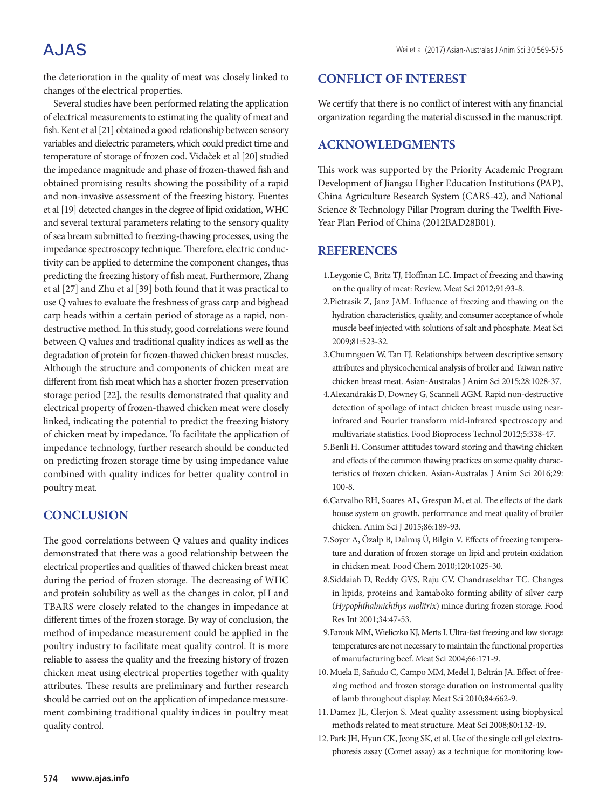## **AJAS**

the deterioration in the quality of meat was closely linked to changes of the electrical properties.

Several studies have been performed relating the application of electrical measurements to estimating the quality of meat and fish. Kent et al [21] obtained a good relationship between sensory variables and dielectric parameters, which could predict time and temperature of storage of frozen cod. Vidaček et al [20] studied the impedance magnitude and phase of frozen-thawed fish and obtained promising results showing the possibility of a rapid and non-invasive assessment of the freezing history. Fuentes et al [19] detected changes in the degree of lipid oxidation, WHC and several textural parameters relating to the sensory quality of sea bream submitted to freezing-thawing processes, using the impedance spectroscopy technique. Therefore, electric conductivity can be applied to determine the component changes, thus predicting the freezing history of fish meat. Furthermore, Zhang et al [27] and Zhu et al [39] both found that it was practical to use Q values to evaluate the freshness of grass carp and bighead carp heads within a certain period of storage as a rapid, nondestructive method. In this study, good correlations were found between Q values and traditional quality indices as well as the degradation of protein for frozen-thawed chicken breast muscles. Although the structure and components of chicken meat are different from fish meat which has a shorter frozen preservation storage period [22], the results demonstrated that quality and electrical property of frozen-thawed chicken meat were closely linked, indicating the potential to predict the freezing history of chicken meat by impedance. To facilitate the application of impedance technology, further research should be conducted on predicting frozen storage time by using impedance value combined with quality indices for better quality control in poultry meat.

## **CONCLUSION**

The good correlations between Q values and quality indices demonstrated that there was a good relationship between the electrical properties and qualities of thawed chicken breast meat during the period of frozen storage. The decreasing of WHC and protein solubility as well as the changes in color, pH and TBARS were closely related to the changes in impedance at different times of the frozen storage. By way of conclusion, the method of impedance measurement could be applied in the poultry industry to facilitate meat quality control. It is more reliable to assess the quality and the freezing history of frozen chicken meat using electrical properties together with quality attributes. These results are preliminary and further research should be carried out on the application of impedance measurement combining traditional quality indices in poultry meat quality control.

### **CONFLICT OF INTEREST**

We certify that there is no conflict of interest with any financial organization regarding the material discussed in the manuscript.

## **ACKNOWLEDGMENTS**

This work was supported by the Priority Academic Program Development of Jiangsu Higher Education Institutions (PAP), China Agriculture Research System (CARS-42), and National Science & Technology Pillar Program during the Twelfth Five-Year Plan Period of China (2012BAD28B01).

### **REFERENCES**

- 1.Leygonie C, Britz TJ, Hoffman LC. Impact of freezing and thawing on the quality of meat: Review. Meat Sci 2012;91:93-8.
- 2.Pietrasik Z, Janz JAM. Influence of freezing and thawing on the hydration characteristics, quality, and consumer acceptance of whole muscle beef injected with solutions of salt and phosphate. Meat Sci 2009;81:523-32.
- 3.Chumngoen W, Tan FJ. Relationships between descriptive sensory attributes and physicochemical analysis of broiler and Taiwan native chicken breast meat. Asian-Australas J Anim Sci 2015;28:1028-37.
- 4.Alexandrakis D, Downey G, Scannell AGM. Rapid non-destructive detection of spoilage of intact chicken breast muscle using nearinfrared and Fourier transform mid-infrared spectroscopy and multivariate statistics. Food Bioprocess Technol 2012;5:338-47.
- 5.Benli H. Consumer attitudes toward storing and thawing chicken and effects of the common thawing practices on some quality characteristics of frozen chicken. Asian-Australas J Anim Sci 2016;29: 100-8.
- 6.Carvalho RH, Soares AL, Grespan M, et al. The effects of the dark house system on growth, performance and meat quality of broiler chicken. Anim Sci J 2015;86:189-93.
- 7.Soyer A, Özalp B, Dalmış Ü, Bilgin V. Effects of freezing temperature and duration of frozen storage on lipid and protein oxidation in chicken meat. Food Chem 2010;120:1025-30.
- 8.Siddaiah D, Reddy GVS, Raju CV, Chandrasekhar TC. Changes in lipids, proteins and kamaboko forming ability of silver carp (*Hypophthalmichthys molitrix*) mince during frozen storage. Food Res Int 2001;34:47-53.
- 9.Farouk MM, Wieliczko KJ, Merts I. Ultra-fast freezing and low storage temperatures are not necessary to maintain the functional properties of manufacturing beef. Meat Sci 2004;66:171-9.
- 10. Muela E, Sañudo C, Campo MM, Medel I, Beltrán JA. Effect of freezing method and frozen storage duration on instrumental quality of lamb throughout display. Meat Sci 2010;84:662-9.
- 11. Damez JL, Clerjon S. Meat quality assessment using biophysical methods related to meat structure. Meat Sci 2008;80:132-49.
- 12. Park JH, Hyun CK, Jeong SK, et al. Use of the single cell gel electrophoresis assay (Comet assay) as a technique for monitoring low‐